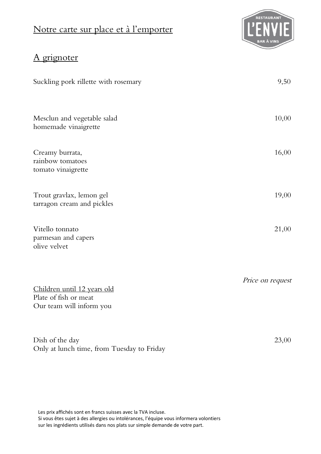## Notre carte sur place et à l'emporter



## A grignoter

| Suckling pork rillette with rosemary                                             | 9,50             |
|----------------------------------------------------------------------------------|------------------|
| Mesclun and vegetable salad<br>homemade vinaigrette                              | 10,00            |
| Creamy burrata,<br>rainbow tomatoes<br>tomato vinaigrette                        | 16,00            |
| Trout gravlax, lemon gel<br>tarragon cream and pickles                           | 19,00            |
| Vitello tonnato<br>parmesan and capers<br>olive velvet                           | 21,00            |
| Children until 12 years old<br>Plate of fish or meat<br>Our team will inform you | Price on request |
| Dish of the day<br>Only at lunch time, from Tuesday to Friday                    | 23,00            |

Les prix affichés sont en francs suisses avec la TVA incluse. Si vous êtes sujet à des allergies ou intolérances, l'équipe vous informera volontiers sur les ingrédients utilisés dans nos plats sur simple demande de votre part.